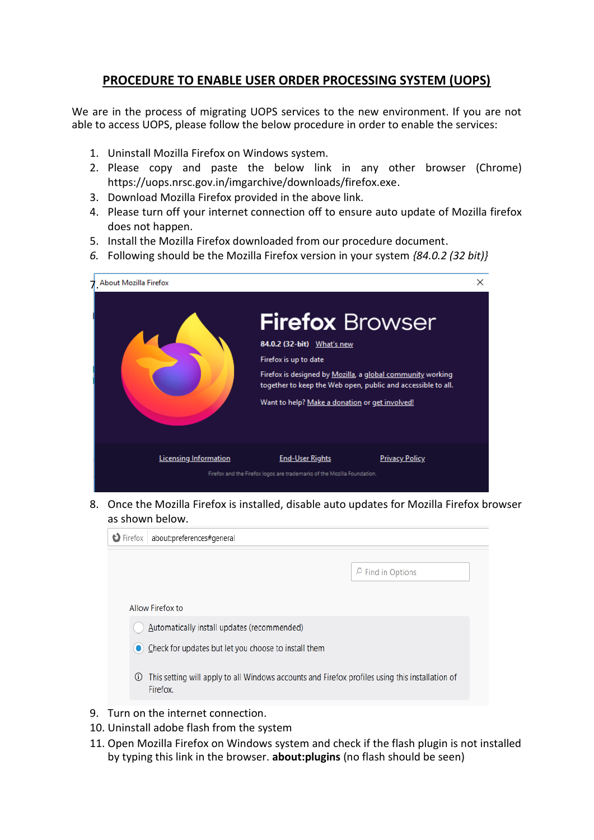## **PROCEDURE TO ENABLE USER ORDER PROCESSING SYSTEM (UOPS)**

We are in the process of migrating UOPS services to the new environment. If you are not able to access UOPS, please follow the below procedure in order to enable the services:

- 1. Uninstall Mozilla Firefox on Windows system.
- 2. Please copy and paste the below link in any other browser (Chrome) https://uops.nrsc.gov.in/imgarchive/downloads/firefox.exe.
- 3. Download Mozilla Firefox provided in the above link.
- 4. Please turn off your internet connection off to ensure auto update of Mozilla firefox does not happen.
- 5. Install the Mozilla Firefox downloaded from our procedure document.
- *6.* Following should be the Mozilla Firefox version in your system *{84.0.2 (32 bit)}*



8. Once the Mozilla Firefox is installed, disable auto updates for Mozilla Firefox browser as shown below.



- 9. Turn on the internet connection.
- 10. Uninstall adobe flash from the system
- 11. Open Mozilla Firefox on Windows system and check if the flash plugin is not installed by typing this link in the browser. **about:plugins** (no flash should be seen)